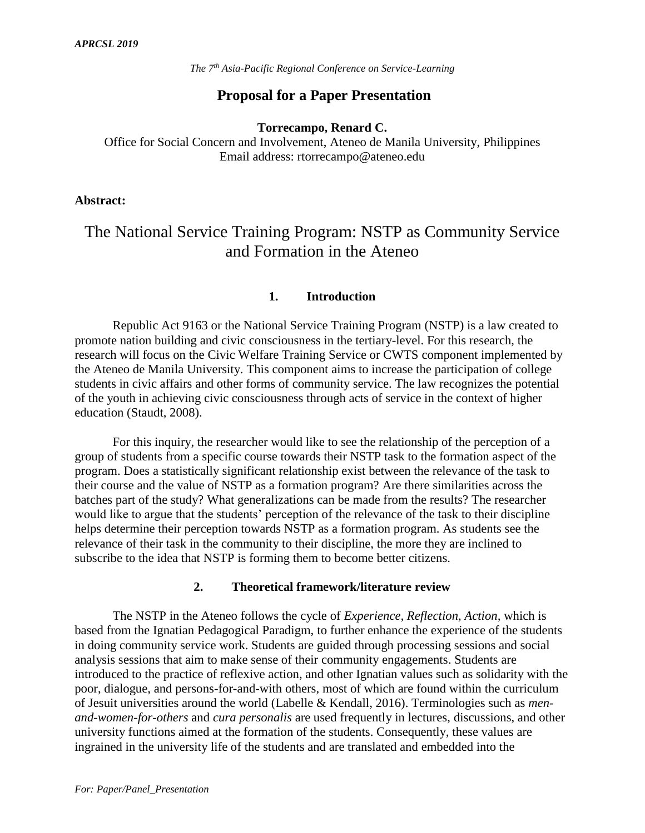## **Proposal for a Paper Presentation**

**Torrecampo, Renard C.** 

Office for Social Concern and Involvement, Ateneo de Manila University, Philippines Email address: rtorrecampo@ateneo.edu

#### **Abstract:**

# The National Service Training Program: NSTP as Community Service and Formation in the Ateneo

## **1. Introduction**

Republic Act 9163 or the National Service Training Program (NSTP) is a law created to promote nation building and civic consciousness in the tertiary-level. For this research, the research will focus on the Civic Welfare Training Service or CWTS component implemented by the Ateneo de Manila University. This component aims to increase the participation of college students in civic affairs and other forms of community service. The law recognizes the potential of the youth in achieving civic consciousness through acts of service in the context of higher education (Staudt, 2008).

For this inquiry, the researcher would like to see the relationship of the perception of a group of students from a specific course towards their NSTP task to the formation aspect of the program. Does a statistically significant relationship exist between the relevance of the task to their course and the value of NSTP as a formation program? Are there similarities across the batches part of the study? What generalizations can be made from the results? The researcher would like to argue that the students' perception of the relevance of the task to their discipline helps determine their perception towards NSTP as a formation program. As students see the relevance of their task in the community to their discipline, the more they are inclined to subscribe to the idea that NSTP is forming them to become better citizens.

#### **2. Theoretical framework/literature review**

The NSTP in the Ateneo follows the cycle of *Experience, Reflection, Action,* which is based from the Ignatian Pedagogical Paradigm, to further enhance the experience of the students in doing community service work. Students are guided through processing sessions and social analysis sessions that aim to make sense of their community engagements. Students are introduced to the practice of reflexive action, and other Ignatian values such as solidarity with the poor, dialogue, and persons-for-and-with others, most of which are found within the curriculum of Jesuit universities around the world (Labelle & Kendall, 2016). Terminologies such as *menand-women-for-others* and *cura personalis* are used frequently in lectures, discussions, and other university functions aimed at the formation of the students. Consequently, these values are ingrained in the university life of the students and are translated and embedded into the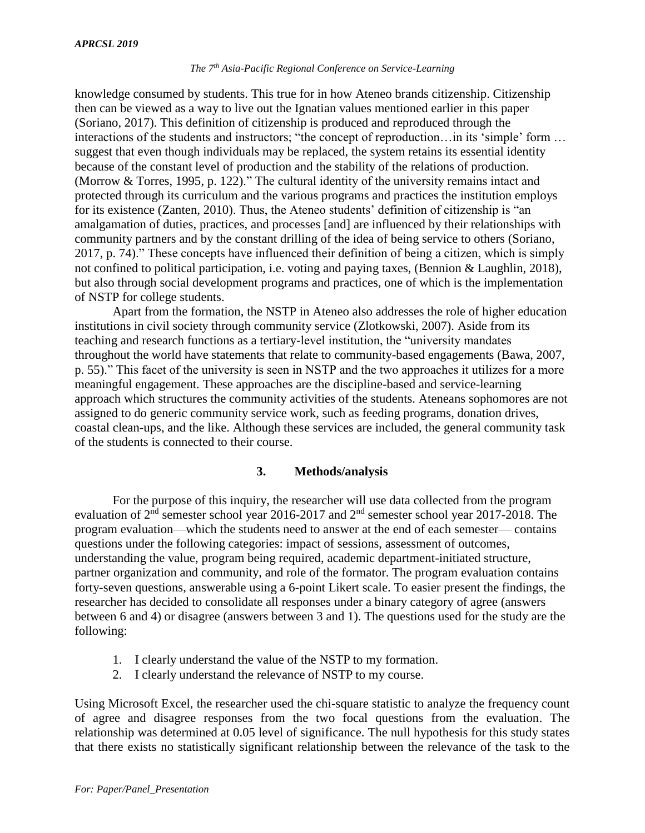knowledge consumed by students. This true for in how Ateneo brands citizenship. Citizenship then can be viewed as a way to live out the Ignatian values mentioned earlier in this paper (Soriano, 2017). This definition of citizenship is produced and reproduced through the interactions of the students and instructors; "the concept of reproduction…in its 'simple' form … suggest that even though individuals may be replaced, the system retains its essential identity because of the constant level of production and the stability of the relations of production. (Morrow & Torres, 1995, p. 122)." The cultural identity of the university remains intact and protected through its curriculum and the various programs and practices the institution employs for its existence (Zanten, 2010). Thus, the Ateneo students' definition of citizenship is "an amalgamation of duties, practices, and processes [and] are influenced by their relationships with community partners and by the constant drilling of the idea of being service to others (Soriano, 2017, p. 74)." These concepts have influenced their definition of being a citizen, which is simply not confined to political participation, i.e. voting and paying taxes, (Bennion & Laughlin, 2018), but also through social development programs and practices, one of which is the implementation of NSTP for college students.

Apart from the formation, the NSTP in Ateneo also addresses the role of higher education institutions in civil society through community service (Zlotkowski, 2007). Aside from its teaching and research functions as a tertiary-level institution, the "university mandates throughout the world have statements that relate to community-based engagements (Bawa, 2007, p. 55)." This facet of the university is seen in NSTP and the two approaches it utilizes for a more meaningful engagement. These approaches are the discipline-based and service-learning approach which structures the community activities of the students. Ateneans sophomores are not assigned to do generic community service work, such as feeding programs, donation drives, coastal clean-ups, and the like. Although these services are included, the general community task of the students is connected to their course.

## **3. Methods/analysis**

For the purpose of this inquiry, the researcher will use data collected from the program evaluation of 2<sup>nd</sup> semester school year 2016-2017 and 2<sup>nd</sup> semester school year 2017-2018. The program evaluation—which the students need to answer at the end of each semester— contains questions under the following categories: impact of sessions, assessment of outcomes, understanding the value, program being required, academic department-initiated structure, partner organization and community, and role of the formator. The program evaluation contains forty-seven questions, answerable using a 6-point Likert scale. To easier present the findings, the researcher has decided to consolidate all responses under a binary category of agree (answers between 6 and 4) or disagree (answers between 3 and 1). The questions used for the study are the following:

- 1. I clearly understand the value of the NSTP to my formation.
- 2. I clearly understand the relevance of NSTP to my course.

Using Microsoft Excel, the researcher used the chi-square statistic to analyze the frequency count of agree and disagree responses from the two focal questions from the evaluation. The relationship was determined at 0.05 level of significance. The null hypothesis for this study states that there exists no statistically significant relationship between the relevance of the task to the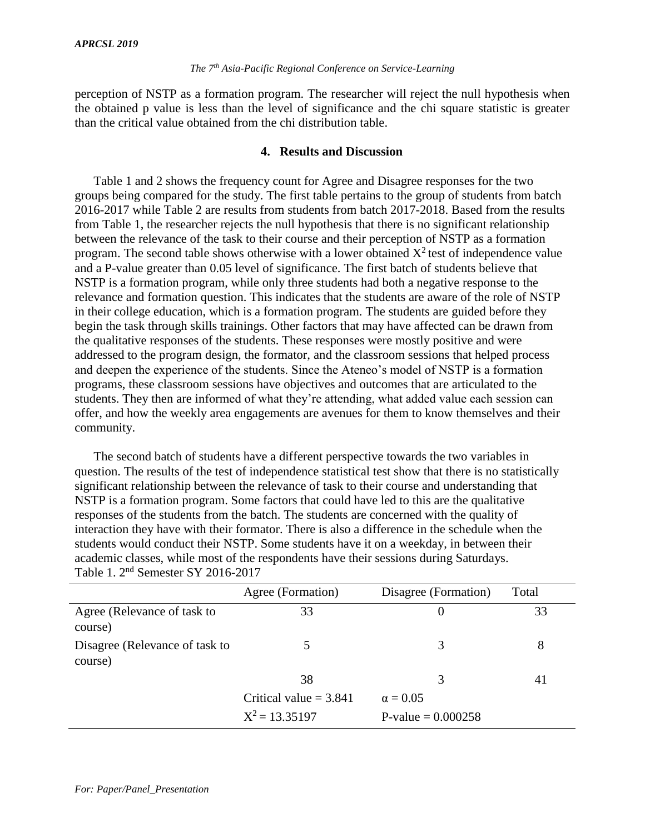perception of NSTP as a formation program. The researcher will reject the null hypothesis when the obtained p value is less than the level of significance and the chi square statistic is greater than the critical value obtained from the chi distribution table.

#### **4. Results and Discussion**

Table 1 and 2 shows the frequency count for Agree and Disagree responses for the two groups being compared for the study. The first table pertains to the group of students from batch 2016-2017 while Table 2 are results from students from batch 2017-2018. Based from the results from Table 1, the researcher rejects the null hypothesis that there is no significant relationship between the relevance of the task to their course and their perception of NSTP as a formation program. The second table shows otherwise with a lower obtained  $X^2$  test of independence value and a P-value greater than 0.05 level of significance. The first batch of students believe that NSTP is a formation program, while only three students had both a negative response to the relevance and formation question. This indicates that the students are aware of the role of NSTP in their college education, which is a formation program. The students are guided before they begin the task through skills trainings. Other factors that may have affected can be drawn from the qualitative responses of the students. These responses were mostly positive and were addressed to the program design, the formator, and the classroom sessions that helped process and deepen the experience of the students. Since the Ateneo's model of NSTP is a formation programs, these classroom sessions have objectives and outcomes that are articulated to the students. They then are informed of what they're attending, what added value each session can offer, and how the weekly area engagements are avenues for them to know themselves and their community.

The second batch of students have a different perspective towards the two variables in question. The results of the test of independence statistical test show that there is no statistically significant relationship between the relevance of task to their course and understanding that NSTP is a formation program. Some factors that could have led to this are the qualitative responses of the students from the batch. The students are concerned with the quality of interaction they have with their formator. There is also a difference in the schedule when the students would conduct their NSTP. Some students have it on a weekday, in between their academic classes, while most of the respondents have their sessions during Saturdays. Table 1. 2nd Semester SY 2016-2017

|                                           | Agree (Formation)        | Disagree (Formation) | Total |
|-------------------------------------------|--------------------------|----------------------|-------|
| Agree (Relevance of task to<br>course)    | 33                       | 0                    | 33    |
| Disagree (Relevance of task to<br>course) |                          | 3                    | 8     |
|                                           | 38                       | 3                    | 41    |
|                                           | Critical value $= 3.841$ | $\alpha = 0.05$      |       |
|                                           | $X^2 = 13.35197$         | P-value = $0.000258$ |       |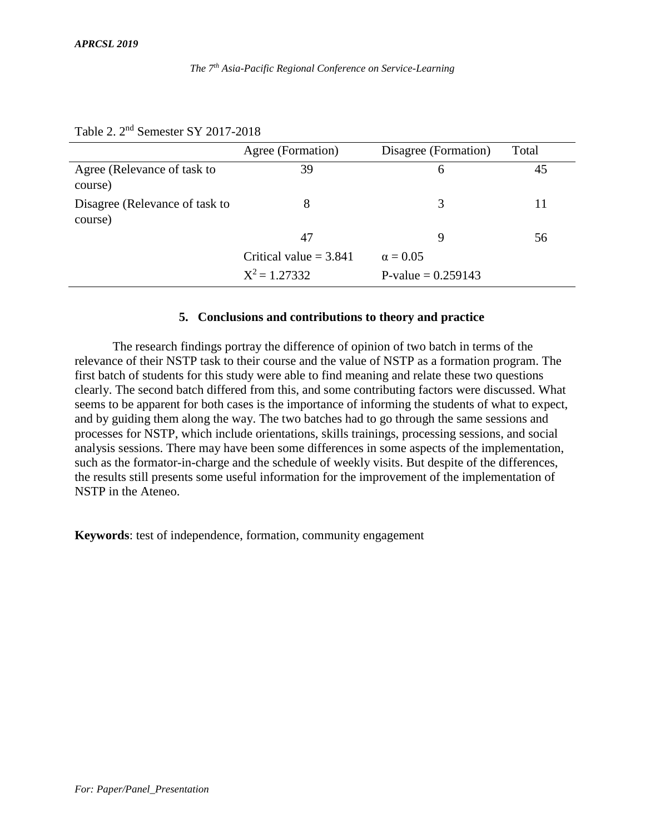#### Agree (Formation) Disagree (Formation) Total Agree (Relevance of task to course) 39 6 45 Disagree (Relevance of task to course) 8 3 11 47 9 56

 $X^2 = 1.27332$ 

## Table 2. 2nd Semester SY 2017-2018

#### **5. Conclusions and contributions to theory and practice**

Critical value =  $3.841$   $\alpha = 0.05$ 

 $P-value = 0.259143$ 

The research findings portray the difference of opinion of two batch in terms of the relevance of their NSTP task to their course and the value of NSTP as a formation program. The first batch of students for this study were able to find meaning and relate these two questions clearly. The second batch differed from this, and some contributing factors were discussed. What seems to be apparent for both cases is the importance of informing the students of what to expect, and by guiding them along the way. The two batches had to go through the same sessions and processes for NSTP, which include orientations, skills trainings, processing sessions, and social analysis sessions. There may have been some differences in some aspects of the implementation, such as the formator-in-charge and the schedule of weekly visits. But despite of the differences, the results still presents some useful information for the improvement of the implementation of NSTP in the Ateneo.

**Keywords**: test of independence, formation, community engagement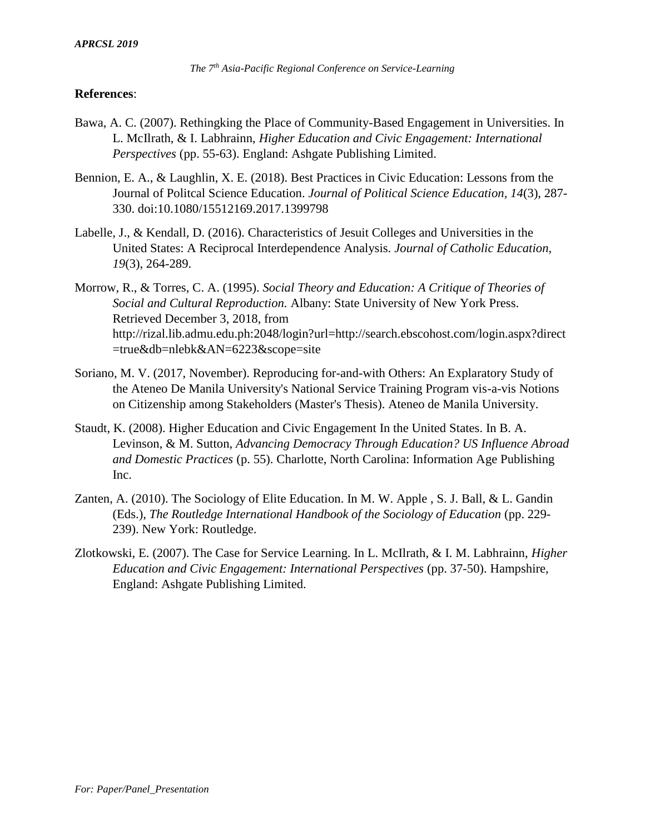## **References**:

- Bawa, A. C. (2007). Rethingking the Place of Community-Based Engagement in Universities. In L. McIlrath, & I. Labhrainn, *Higher Education and Civic Engagement: International Perspectives* (pp. 55-63). England: Ashgate Publishing Limited.
- Bennion, E. A., & Laughlin, X. E. (2018). Best Practices in Civic Education: Lessons from the Journal of Politcal Science Education. *Journal of Political Science Education, 14*(3), 287- 330. doi:10.1080/15512169.2017.1399798
- Labelle, J., & Kendall, D. (2016). Characteristics of Jesuit Colleges and Universities in the United States: A Reciprocal Interdependence Analysis. *Journal of Catholic Education, 19*(3), 264-289.
- Morrow, R., & Torres, C. A. (1995). *Social Theory and Education: A Critique of Theories of Social and Cultural Reproduction.* Albany: State University of New York Press. Retrieved December 3, 2018, from http://rizal.lib.admu.edu.ph:2048/login?url=http://search.ebscohost.com/login.aspx?direct =true&db=nlebk&AN=6223&scope=site
- Soriano, M. V. (2017, November). Reproducing for-and-with Others: An Explaratory Study of the Ateneo De Manila University's National Service Training Program vis-a-vis Notions on Citizenship among Stakeholders (Master's Thesis). Ateneo de Manila University.
- Staudt, K. (2008). Higher Education and Civic Engagement In the United States. In B. A. Levinson, & M. Sutton, *Advancing Democracy Through Education? US Influence Abroad and Domestic Practices* (p. 55). Charlotte, North Carolina: Information Age Publishing Inc.
- Zanten, A. (2010). The Sociology of Elite Education. In M. W. Apple , S. J. Ball, & L. Gandin (Eds.), *The Routledge International Handbook of the Sociology of Education* (pp. 229- 239). New York: Routledge.
- Zlotkowski, E. (2007). The Case for Service Learning. In L. McIlrath, & I. M. Labhrainn, *Higher Education and Civic Engagement: International Perspectives* (pp. 37-50). Hampshire, England: Ashgate Publishing Limited.